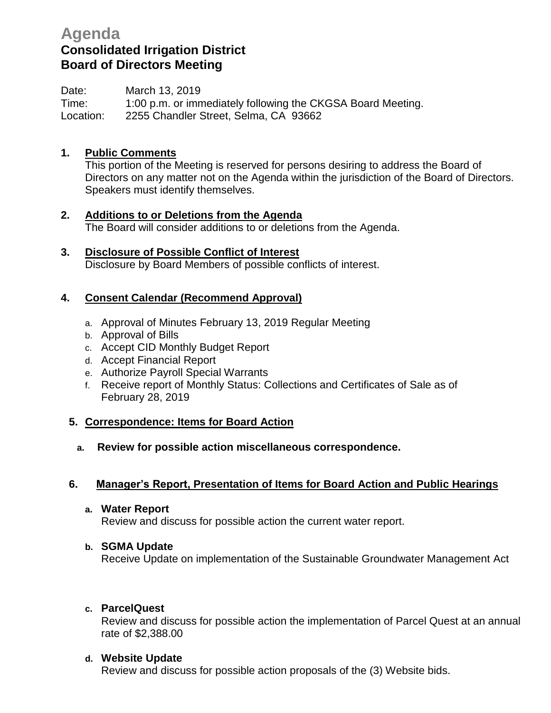# **Agenda Consolidated Irrigation District Board of Directors Meeting**

Date: March 13, 2019 Time: 1:00 p.m. or immediately following the CKGSA Board Meeting. Location: 2255 Chandler Street, Selma, CA 93662

# **1. Public Comments**

This portion of the Meeting is reserved for persons desiring to address the Board of Directors on any matter not on the Agenda within the jurisdiction of the Board of Directors. Speakers must identify themselves.

- **2. Additions to or Deletions from the Agenda** The Board will consider additions to or deletions from the Agenda.
- **3. Disclosure of Possible Conflict of Interest** Disclosure by Board Members of possible conflicts of interest.

# **4. Consent Calendar (Recommend Approval)**

- a. Approval of Minutes February 13, 2019 Regular Meeting
- b. Approval of Bills
- c. Accept CID Monthly Budget Report
- d. Accept Financial Report
- e. Authorize Payroll Special Warrants
- f. Receive report of Monthly Status: Collections and Certificates of Sale as of February 28, 2019

# **5. Correspondence: Items for Board Action**

**a. Review for possible action miscellaneous correspondence.**

# **6. Manager's Report, Presentation of Items for Board Action and Public Hearings**

**a. Water Report**

Review and discuss for possible action the current water report.

# **b. SGMA Update**

Receive Update on implementation of the Sustainable Groundwater Management Act

# **c. ParcelQuest**

Review and discuss for possible action the implementation of Parcel Quest at an annual rate of \$2,388.00

# **d. Website Update**

Review and discuss for possible action proposals of the (3) Website bids.